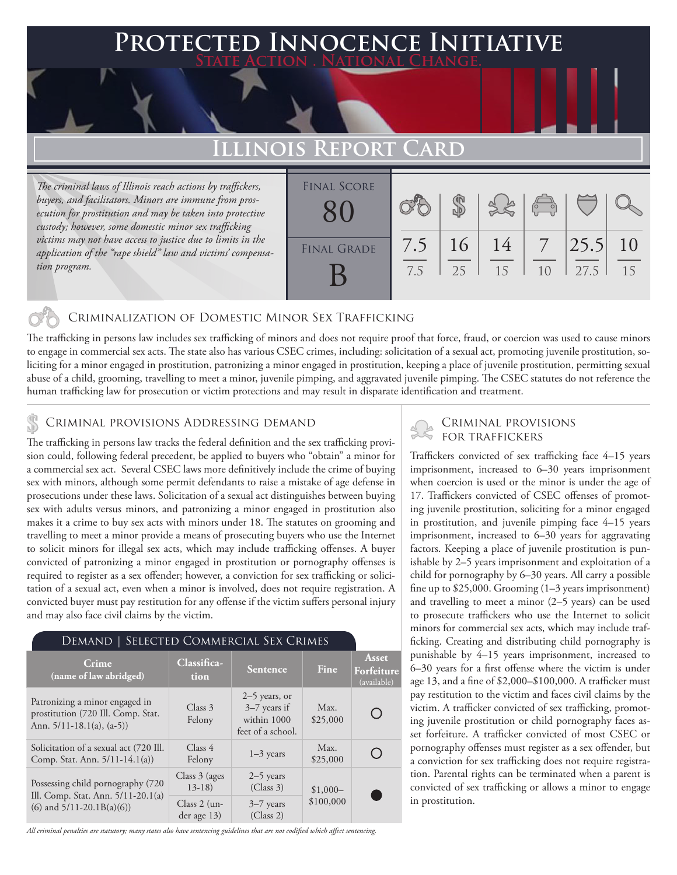### **PTED INNOCENCE INITIATIVE State Action . National Change.**

# **Illinois Report Card**

*The criminal laws of Illinois reach actions by traffickers, buyers, and facilitators. Minors are immune from prosecution for prostitution and may be taken into protective custody; however, some domestic minor sex trafficking victims may not have access to justice due to limits in the application of the "rape shield" law and victims' compensation program.*

| <b>FINAL SCORE</b> |     |    |    | $\left(\begin{matrix} 1 & 1 \\ 1 & 1 \end{matrix}\right)$ |      |    |
|--------------------|-----|----|----|-----------------------------------------------------------|------|----|
| <b>FINAL GRADE</b> | 7.5 | 16 | 14 |                                                           | 25.5 | 10 |
|                    | 7.5 | 25 | 15 | 10                                                        | 27.5 | 15 |

#### Criminalization of Domestic Minor Sex Trafficking

The trafficking in persons law includes sex trafficking of minors and does not require proof that force, fraud, or coercion was used to cause minors to engage in commercial sex acts. The state also has various CSEC crimes, including: solicitation of a sexual act, promoting juvenile prostitution, soliciting for a minor engaged in prostitution, patronizing a minor engaged in prostitution, keeping a place of juvenile prostitution, permitting sexual abuse of a child, grooming, travelling to meet a minor, juvenile pimping, and aggravated juvenile pimping. The CSEC statutes do not reference the human trafficking law for prosecution or victim protections and may result in disparate identification and treatment.

# CRIMINAL PROVISIONS ADDRESSING DEMAND<br>The trafficking in persons law tracks the foderal definition and the sex trafficking provisions FOR TRAFFICKERS

The trafficking in persons law tracks the federal definition and the sex trafficking provision could, following federal precedent, be applied to buyers who "obtain" a minor for a commercial sex act. Several CSEC laws more definitively include the crime of buying sex with minors, although some permit defendants to raise a mistake of age defense in prosecutions under these laws. Solicitation of a sexual act distinguishes between buying sex with adults versus minors, and patronizing a minor engaged in prostitution also makes it a crime to buy sex acts with minors under 18. The statutes on grooming and travelling to meet a minor provide a means of prosecuting buyers who use the Internet to solicit minors for illegal sex acts, which may include trafficking offenses. A buyer convicted of patronizing a minor engaged in prostitution or pornography offenses is required to register as a sex offender; however, a conviction for sex trafficking or solicitation of a sexual act, even when a minor is involved, does not require registration. A convicted buyer must pay restitution for any offense if the victim suffers personal injury and may also face civil claims by the victim.

#### Demand | Selected Commercial Sex Crimes

| Crime<br>(name of law abridged)                                                                         | Classifica-<br>tion           | Sentence                                                              | Fine             | Asset<br>Forfeiture<br>(available) |
|---------------------------------------------------------------------------------------------------------|-------------------------------|-----------------------------------------------------------------------|------------------|------------------------------------|
| Patronizing a minor engaged in<br>prostitution (720 Ill. Comp. Stat.<br>Ann. $5/11-18.1(a)$ , $(a-5)$ ) | Class 3<br>Felony             | $2-5$ years, or<br>$3-7$ years if<br>within 1000<br>feet of a school. | Max.<br>\$25,000 |                                    |
| Solicitation of a sexual act (720 Ill.<br>Comp. Stat. Ann. 5/11-14.1(a))                                | Class 4<br>Felony             | $1-3$ years                                                           | Max.<br>\$25,000 |                                    |
| Possessing child pornography (720                                                                       | Class $3$ (ages)<br>$13-18$   | $2-5$ years<br>(Class 3)                                              | $$1,000-$        |                                    |
| Ill. Comp. Stat. Ann. 5/11-20.1(a)<br>$(6)$ and $5/11-20.1B(a)(6)$                                      | Class $2$ (un-<br>der age 13) | $3-7$ years<br>(Class 2)                                              | \$100,000        |                                    |

*All criminal penalties are statutory; many states also have sentencing guidelines that are not codified which affect sentencing.* 

Traffickers convicted of sex trafficking face 4–15 years imprisonment, increased to 6–30 years imprisonment when coercion is used or the minor is under the age of 17. Traffickers convicted of CSEC offenses of promoting juvenile prostitution, soliciting for a minor engaged in prostitution, and juvenile pimping face 4–15 years imprisonment, increased to 6–30 years for aggravating factors. Keeping a place of juvenile prostitution is punishable by 2–5 years imprisonment and exploitation of a child for pornography by 6–30 years. All carry a possible fine up to \$25,000. Grooming (1–3 years imprisonment) and travelling to meet a minor (2–5 years) can be used to prosecute traffickers who use the Internet to solicit minors for commercial sex acts, which may include trafficking. Creating and distributing child pornography is punishable by 4–15 years imprisonment, increased to 6–30 years for a first offense where the victim is under age 13, and a fine of \$2,000–\$100,000. A trafficker must pay restitution to the victim and faces civil claims by the victim. A trafficker convicted of sex trafficking, promoting juvenile prostitution or child pornography faces asset forfeiture. A trafficker convicted of most CSEC or pornography offenses must register as a sex offender, but a conviction for sex trafficking does not require registration. Parental rights can be terminated when a parent is convicted of sex trafficking or allows a minor to engage in prostitution.